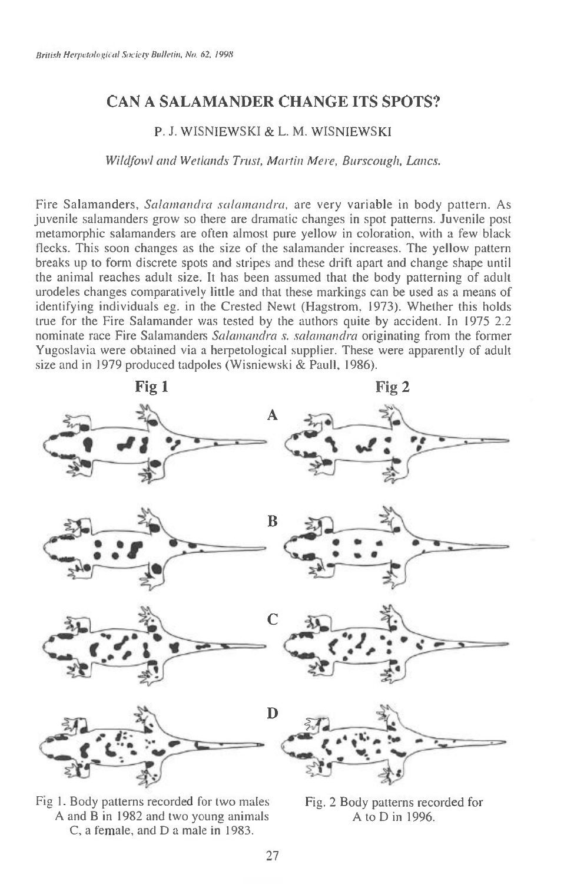## CAN A SALAMANDER CHANGE ITS SPOTS?

## P. J. WISNIEWSKI & L. M. WISNIEWSKI

*Wildfowl and Wetlands Trust, Martin Mere, Burscough, Lancs.* 

Fire Salamanders, *Salamandra salamandra*, are very variable in body pattern. As juvenile salamanders grow so there are dramatic changes in spot patterns. Juvenile post metamorphic salamanders are often almost pure yellow in coloration, with a few black flecks. This soon changes as the size of the salamander increases. The yellow pattern breaks up to form discrete spots and stripes and these drift apart and change shape until the animal reaches adult size. It has been assumed that the body patterning of adult urodeles changes comparatively little and that these markings can be used as a means of identifying individuals eg. in the Crested Newt (Hagstrom, 1973). Whether this holds true for the Fire Salamander was tested by the authors quite by accident. In 1975 2.2 nominate race Fire Salamanders *Salamandra s. salainandra* originating from the former Yugoslavia were obtained via a herpetological supplier. These were apparently of adult size and in 1979 produced tadpoles (Wisniewski & Paull, 1986).



Fig 1. Body patterns recorded for two males Fig. 2 Body patterns recorded for A and B in 1982 and two young animals A to D in 1996. C, a female, and D a male in 1983.